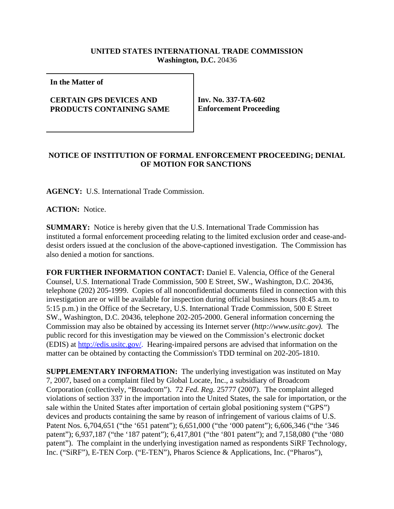## **UNITED STATES INTERNATIONAL TRADE COMMISSION Washington, D.C.** 20436

**In the Matter of**

## **CERTAIN GPS DEVICES AND PRODUCTS CONTAINING SAME**

**Inv. No. 337-TA-602 Enforcement Proceeding**

## **NOTICE OF INSTITUTION OF FORMAL ENFORCEMENT PROCEEDING; DENIAL OF MOTION FOR SANCTIONS**

**AGENCY:** U.S. International Trade Commission.

**ACTION:** Notice.

**SUMMARY:** Notice is hereby given that the U.S. International Trade Commission has instituted a formal enforcement proceeding relating to the limited exclusion order and cease-anddesist orders issued at the conclusion of the above-captioned investigation. The Commission has also denied a motion for sanctions.

**FOR FURTHER INFORMATION CONTACT:** Daniel E. Valencia, Office of the General Counsel, U.S. International Trade Commission, 500 E Street, SW., Washington, D.C. 20436, telephone (202) 205-1999. Copies of all nonconfidential documents filed in connection with this investigation are or will be available for inspection during official business hours (8:45 a.m. to 5:15 p.m.) in the Office of the Secretary, U.S. International Trade Commission, 500 E Street SW., Washington, D.C. 20436, telephone 202-205-2000. General information concerning the Commission may also be obtained by accessing its Internet server (*http://www.usitc.gov).* The public record for this investigation may be viewed on the Commission's electronic docket (EDIS) at http://edis.usitc.gov/. Hearing-impaired persons are advised that information on the matter can be obtained by contacting the Commission's TDD terminal on 202-205-1810.

**SUPPLEMENTARY INFORMATION:** The underlying investigation was instituted on May 7, 2007, based on a complaint filed by Global Locate, Inc., a subsidiary of Broadcom Corporation (collectively, "Broadcom"). 72 *Fed. Reg.* 25777 (2007). The complaint alleged violations of section 337 in the importation into the United States, the sale for importation, or the sale within the United States after importation of certain global positioning system ("GPS") devices and products containing the same by reason of infringement of various claims of U.S. Patent Nos. 6,704,651 ("the '651 patent"); 6,651,000 ("the '000 patent"); 6,606,346 ("the '346 patent"); 6,937,187 ("the '187 patent"); 6,417,801 ("the '801 patent"); and 7,158,080 ("the '080 patent"). The complaint in the underlying investigation named as respondents SiRF Technology, Inc. ("SiRF"), E-TEN Corp. ("E-TEN"), Pharos Science & Applications, Inc. ("Pharos"),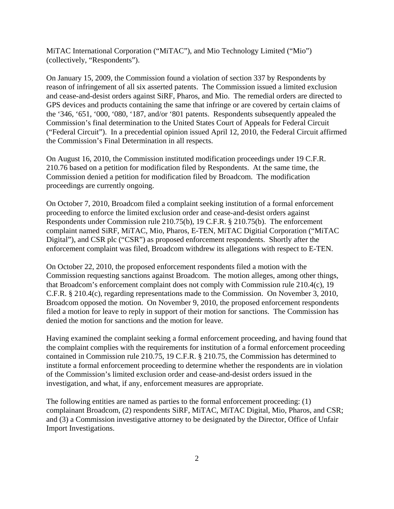MiTAC International Corporation ("MiTAC"), and Mio Technology Limited ("Mio") (collectively, "Respondents").

On January 15, 2009, the Commission found a violation of section 337 by Respondents by reason of infringement of all six asserted patents. The Commission issued a limited exclusion and cease-and-desist orders against SiRF, Pharos, and Mio. The remedial orders are directed to GPS devices and products containing the same that infringe or are covered by certain claims of the '346, '651, '000, '080, '187, and/or '801 patents. Respondents subsequently appealed the Commission's final determination to the United States Court of Appeals for Federal Circuit ("Federal Circuit"). In a precedential opinion issued April 12, 2010, the Federal Circuit affirmed the Commission's Final Determination in all respects.

On August 16, 2010, the Commission instituted modification proceedings under 19 C.F.R. 210.76 based on a petition for modification filed by Respondents. At the same time, the Commission denied a petition for modification filed by Broadcom. The modification proceedings are currently ongoing.

On October 7, 2010, Broadcom filed a complaint seeking institution of a formal enforcement proceeding to enforce the limited exclusion order and cease-and-desist orders against Respondents under Commission rule 210.75(b), 19 C.F.R. § 210.75(b). The enforcement complaint named SiRF, MiTAC, Mio, Pharos, E-TEN, MiTAC Digitial Corporation ("MiTAC Digital"), and CSR plc ("CSR") as proposed enforcement respondents. Shortly after the enforcement complaint was filed, Broadcom withdrew its allegations with respect to E-TEN.

On October 22, 2010, the proposed enforcement respondents filed a motion with the Commission requesting sanctions against Broadcom. The motion alleges, among other things, that Broadcom's enforcement complaint does not comply with Commission rule 210.4(c), 19 C.F.R. § 210.4(c), regarding representations made to the Commission. On November 3, 2010, Broadcom opposed the motion. On November 9, 2010, the proposed enforcement respondents filed a motion for leave to reply in support of their motion for sanctions. The Commission has denied the motion for sanctions and the motion for leave.

Having examined the complaint seeking a formal enforcement proceeding, and having found that the complaint complies with the requirements for institution of a formal enforcement proceeding contained in Commission rule 210.75, 19 C.F.R. § 210.75, the Commission has determined to institute a formal enforcement proceeding to determine whether the respondents are in violation of the Commission's limited exclusion order and cease-and-desist orders issued in the investigation, and what, if any, enforcement measures are appropriate.

The following entities are named as parties to the formal enforcement proceeding: (1) complainant Broadcom, (2) respondents SiRF, MiTAC, MiTAC Digital, Mio, Pharos, and CSR; and (3) a Commission investigative attorney to be designated by the Director, Office of Unfair Import Investigations.